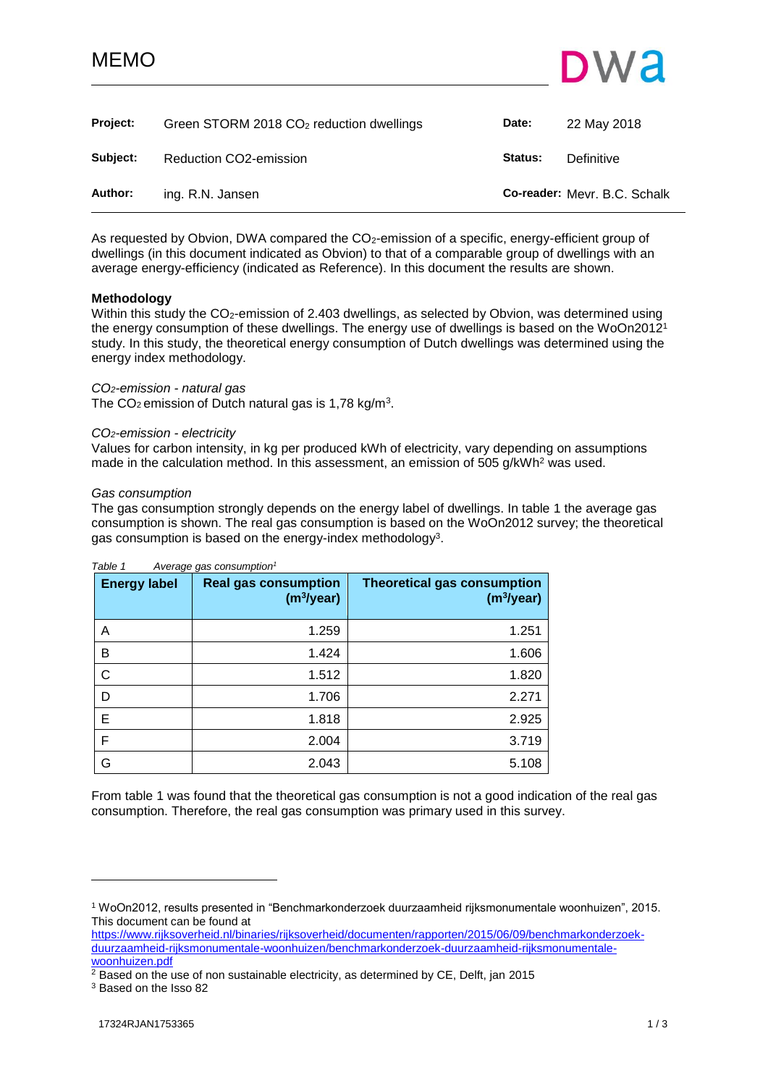# MEMO



<span id="page-0-0"></span>

| Project: | Green STORM 2018 $CO2$ reduction dwellings | Date:   | 22 May 2018                  |
|----------|--------------------------------------------|---------|------------------------------|
| Subject: | Reduction CO2-emission                     | Status: | Definitive                   |
| Author:  | ing. R.N. Jansen                           |         | Co-reader: Mevr. B.C. Schalk |

As requested by Obvion, DWA compared the CO<sub>2</sub>-emission of a specific, energy-efficient group of dwellings (in this document indicated as Obvion) to that of a comparable group of dwellings with an average energy-efficiency (indicated as Reference). In this document the results are shown.

## **Methodology**

Within this study the CO<sub>2</sub>-emission of 2.403 dwellings, as selected by Obvion, was determined using the energy consumption of these dwellings. The energy use of dwellings is based on the WoOn2012<sup>1</sup> study. In this study, the theoretical energy consumption of Dutch dwellings was determined using the energy index methodology.

# *CO2-emission - natural gas*

The CO<sub>2</sub> emission of Dutch natural gas is 1,78 kg/m<sup>3</sup>.

## *CO2-emission - electricity*

Values for carbon intensity, in kg per produced kWh of electricity, vary depending on assumptions made in the calculation method. In this assessment, an emission of 505 g/kWh<sup>2</sup> was used.

## *Gas consumption*

The gas consumption strongly depends on the energy label of dwellings. In table 1 the average gas consumption is shown. The real gas consumption is based on the WoOn2012 survey; the theoretical gas consumption is based on the energy-index methodology<sup>3</sup>.

| <b>Energy label</b> | <b>Real gas consumption</b><br>(m <sup>3</sup> /year) | <b>Theoretical gas consumption</b><br>(m <sup>3</sup> /year) |
|---------------------|-------------------------------------------------------|--------------------------------------------------------------|
| Α                   | 1.259                                                 | 1.251                                                        |
| B                   | 1.424                                                 | 1.606                                                        |
| C                   | 1.512                                                 | 1.820                                                        |
| D                   | 1.706                                                 | 2.271                                                        |
| E                   | 1.818                                                 | 2.925                                                        |
| F                   | 2.004                                                 | 3.719                                                        |
| G                   | 2.043                                                 | 5.108                                                        |

*Table 1 Average gas consumption<sup>1</sup>*

From table 1 was found that the theoretical gas consumption is not a good indication of the real gas consumption. Therefore, the real gas consumption was primary used in this survey.

[https://www.rijksoverheid.nl/binaries/rijksoverheid/documenten/rapporten/2015/06/09/benchmarkonderzoek](https://www.rijksoverheid.nl/binaries/rijksoverheid/documenten/rapporten/2015/06/09/benchmarkonderzoek-duurzaamheid-rijksmonumentale-woonhuizen/benchmarkonderzoek-duurzaamheid-rijksmonumentale-woonhuizen.pdf)[duurzaamheid-rijksmonumentale-woonhuizen/benchmarkonderzoek-duurzaamheid-rijksmonumentale](https://www.rijksoverheid.nl/binaries/rijksoverheid/documenten/rapporten/2015/06/09/benchmarkonderzoek-duurzaamheid-rijksmonumentale-woonhuizen/benchmarkonderzoek-duurzaamheid-rijksmonumentale-woonhuizen.pdf)[woonhuizen.pdf](https://www.rijksoverheid.nl/binaries/rijksoverheid/documenten/rapporten/2015/06/09/benchmarkonderzoek-duurzaamheid-rijksmonumentale-woonhuizen/benchmarkonderzoek-duurzaamheid-rijksmonumentale-woonhuizen.pdf)

 $2$  Based on the use of non sustainable electricity, as determined by CE, Delft, jan 2015

<sup>3</sup> Based on the Isso 82

l

<sup>1</sup> WoOn2012, results presented in "Benchmarkonderzoek duurzaamheid rijksmonumentale woonhuizen", 2015. This document can be found at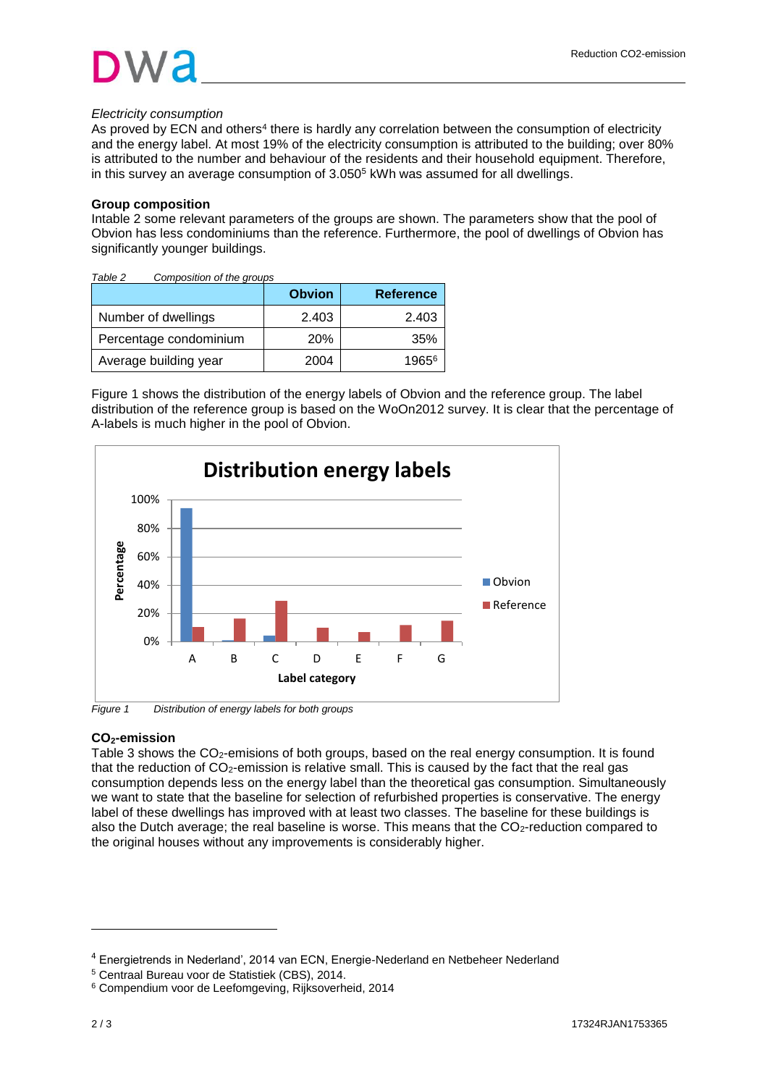# *Electricity consumption*

As proved by ECN and others<sup>4</sup> there is hardly any correlation between the consumption of electricity and the energy label. At most 19% of the electricity consumption is attributed to the building; over 80% is attributed to the number and behaviour of the residents and their household equipment. Therefore, in this survey an average consumption of  $3.050<sup>5</sup>$  kWh was assumed for all dwellings.

# **Group composition**

Intable 2 some relevant parameters of the groups are shown. The parameters show that the pool of Obvion has less condominiums than the reference. Furthermore, the pool of dwellings of Obvion has significantly younger buildings.

| Table 2<br>Composition of the groups |               |                  |
|--------------------------------------|---------------|------------------|
|                                      | <b>Obvion</b> | <b>Reference</b> |
| Number of dwellings                  | 2.403         | 2.403            |
| Percentage condominium               | <b>20%</b>    | 35%              |
| Average building year                | 2004          | 19656            |

Figure 1 shows the distribution of the energy labels of Obvion and the reference group. The label distribution of the reference group is based on the WoOn2012 survey. It is clear that the percentage of A-labels is much higher in the pool of Obvion.



*Figure 1 Distribution of energy labels for both groups*

# **CO2-emission**

Table 3 shows the CO<sub>2</sub>-emisions of both groups, based on the real energy consumption. It is found that the reduction of  $CO<sub>2</sub>$ -emission is relative small. This is caused by the fact that the real gas consumption depends less on the energy label than the theoretical gas consumption. Simultaneously we want to state that the baseline for selection of refurbished properties is conservative. The energy label of these dwellings has improved with at least two classes. The baseline for these buildings is also the Dutch average; the real baseline is worse. This means that the CO<sub>2</sub>-reduction compared to the original houses without any improvements is considerably higher.

l

<sup>4</sup> Energietrends in Nederland', 2014 van ECN, Energie-Nederland en Netbeheer Nederland

<sup>5</sup> Centraal Bureau voor de Statistiek (CBS), 2014.

<sup>6</sup> Compendium voor de Leefomgeving, Rijksoverheid, 2014